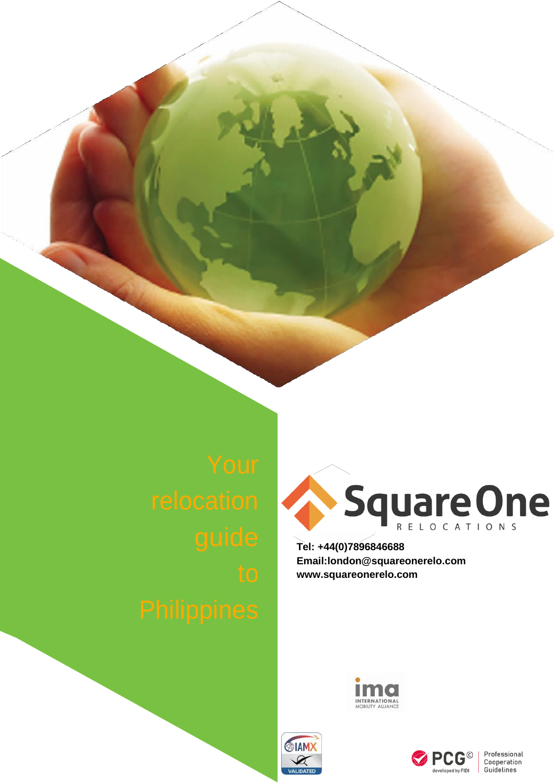

**Tel: +44(0)7896846688 [Email:london@squareonerelo.com](mailto:london@squareonerelo.com) [www.squareonerelo.com](http://www.squareonerelo.com/)**







Professional<br>Cooperation Guidelines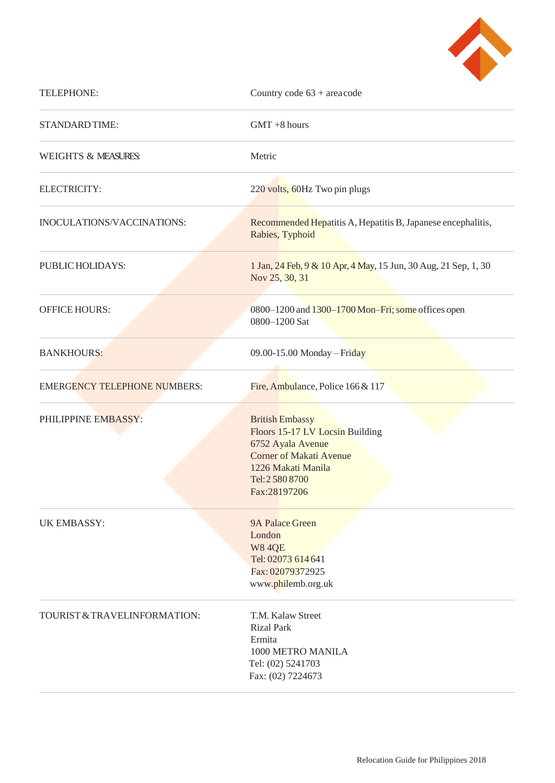

| TELEPHONE:                          | Country code $63 +$ area code                                                                                                                                             |
|-------------------------------------|---------------------------------------------------------------------------------------------------------------------------------------------------------------------------|
| STANDARD TIME:                      | $GMT + 8$ hours                                                                                                                                                           |
| <b>WEIGHTS &amp; MEASURES:</b>      | Metric                                                                                                                                                                    |
| ELECTRICITY:                        | 220 volts, 60Hz Two pin plugs                                                                                                                                             |
| INOCULATIONS/VACCINATIONS:          | Recommended Hepatitis A, Hepatitis B, Japanese encephalitis,<br>Rabies, Typhoid                                                                                           |
| PUBLIC HOLIDAYS:                    | 1 Jan, 24 Feb, 9 & 10 Apr, 4 May, 15 Jun, 30 Aug, 21 Sep, 1, 30<br>Nov 25, 30, 31                                                                                         |
| <b>OFFICE HOURS:</b>                | 0800-1200 and 1300-1700 Mon-Fri; some offices open<br>0800-1200 Sat                                                                                                       |
| <b>BANKHOURS:</b>                   | 09.00-15.00 Monday - Friday                                                                                                                                               |
| <b>EMERGENCY TELEPHONE NUMBERS:</b> | Fire, Ambulance, Police 166 & 117                                                                                                                                         |
| PHILIPPINE EMBASSY:                 | <b>British Embassy</b><br>Floors 15-17 LV Locsin Building<br>6752 Ayala Avenue<br><b>Corner of Makati Avenue</b><br>1226 Makati Manila<br>Tel: 2 580 8700<br>Fax:28197206 |
| <b>UK EMBASSY:</b>                  | 9A Palace Green<br>London<br><b>W84QE</b><br>Tel: 02073 614 641<br>Fax: 02079372925<br>www.philemb.org.uk                                                                 |
| TOURIST & TRAVELINFORMATION:        | T.M. Kalaw Street<br><b>Rizal Park</b><br>Ermita<br>1000 METRO MANILA<br>Tel: (02) 5241703<br>Fax: (02) 7224673                                                           |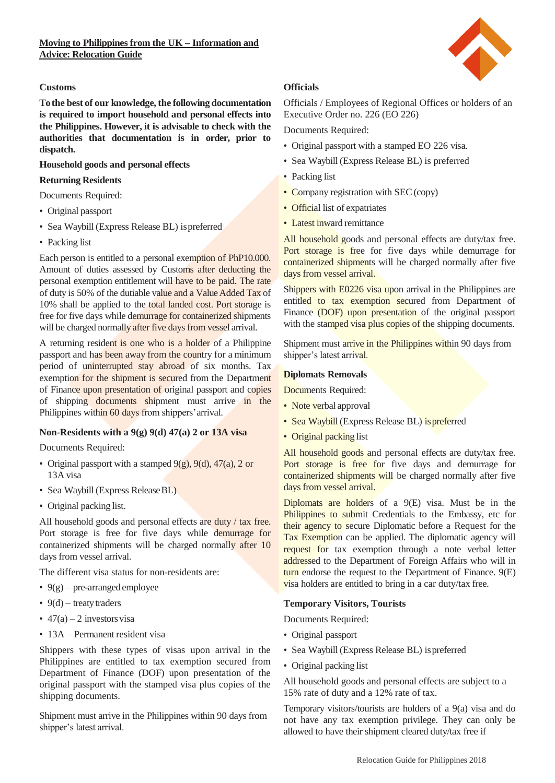

## **Customs**

**Tothe best of our knowledge, the following documentation is required to import household and personal effects into the Philippines. However, it is advisable to check with the authorities that documentation is in order, prior to dispatch.**

#### **Household goods and personal effects**

#### **Returning Residents**

Documents Required:

- Original passport
- Sea Waybill (Express Release BL) ispreferred
- Packing list

Each person is entitled to a personal exemption of PhP10.000. Amount of duties assessed by Customs after deducting the personal exemption entitlement will have to be paid. The rate of duty is 50% of the dutiable value and a ValueAdded Tax of 10% shall be applied to the total landed cost. Port storage is free for five days while demurrage for containerized shipments will be charged normally after five days from vessel arrival.

A returning resident is one who is a holder of a Philippine passport and has been away from the country for a minimum period of uninterrupted stay abroad of six months. Tax exemption for the shipment is secured from the Department of Finance upon presentation of original passport and copies of shipping documents shipment must arrive in the Philippines within 60 days from shippers' arrival.

# **Non-Residents with a 9(g) 9(d) 47(a) 2 or 13A visa**

Documents Required:

- Original passport with a stamped  $9(g)$ ,  $9(d)$ ,  $47(a)$ ,  $2$  or 13A visa
- Sea Waybill (Express Release BL)
- Original packing list.

All household goods and personal effects are duty / tax free. Port storage is free for five days while demurrage for containerized shipments will be charged normally after 10 days from vessel arrival.

The different visa status for non-residents are:

- $9(g)$  pre-arranged employee
- $9(d)$  treaty traders
- $47(a) 2$  investors visa
- 13A Permanent resident visa

Shippers with these types of visas upon arrival in the Philippines are entitled to tax exemption secured from Department of Finance (DOF) upon presentation of the original passport with the stamped visa plus copies of the shipping documents.

Shipment must arrive in the Philippines within 90 days from shipper's latest arrival.

# **Officials**

Officials / Employees of Regional Offices or holders of an Executive Order no. 226 (EO 226)

Documents Required:

- Original passport with a stamped EO 226 visa.
- Sea Waybill (Express Release BL) is preferred
- Packing list
- Company registration with SEC (copy)
- Official list of expatriates
- Latest inward remittance

All household goods and personal effects are duty/tax free. Port storage is free for five days while demurrage for containerized shipments will be charged normally after five days from vessel arrival.

Shippers with E0226 visa upon arrival in the Philippines are entitled to tax exemption secured from Department of Finance (DOF) upon presentation of the original passport with the stamped visa plus copies of the shipping documents.

Shipment must arrive in the Philippines within 90 days from shipper's latest arrival.

#### **Diplomats Removals**

Documents Required:

- Note verbal approval
- Sea Waybill (Express Release BL) is preferred
- Original packing list

All household goods and personal effects are duty/tax free. Port storage is free for five days and demurrage for containerized shipments will be charged normally after five days from vessel arrival.

Diplomats are holders of a 9(E) visa. Must be in the Philippines to submit Credentials to the Embassy, etc for their agency to secure Diplomatic before a Request for the Tax Exemption can be applied. The diplomatic agency will request for tax exemption through a note verbal letter addressed to the Department of Foreign Affairs who will in turn endorse the request to the Department of Finance. 9(E) visa holders are entitled to bring in a car duty/tax free.

#### **Temporary Visitors, Tourists**

Documents Required:

- Original passport
- Sea Waybill (Express Release BL) ispreferred
- Original packing list

All household goods and personal effects are subject to a 15% rate of duty and a 12% rate of tax.

Temporary visitors/tourists are holders of a 9(a) visa and do not have any tax exemption privilege. They can only be allowed to have their shipment cleared duty/tax free if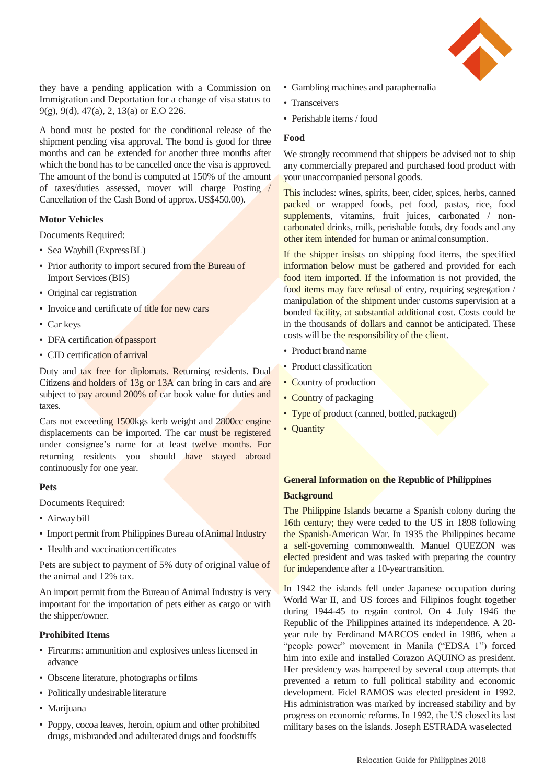

they have a pending application with a Commission on Immigration and Deportation for a change of visa status to 9(g), 9(d), 47(a), 2, 13(a) or E.O 226.

A bond must be posted for the conditional release of the shipment pending visa approval. The bond is good for three months and can be extended for another three months after which the bond has to be cancelled once the visa is approved. The amount of the bond is computed at 150% of the amount of taxes/duties assessed, mover will charge Posting / Cancellation of the Cash Bond of approx.US\$450.00).

## **Motor Vehicles**

Documents Required:

- Sea Waybill (Express BL)
- Prior authority to import secured from the Bureau of Import Services(BIS)
- Original car registration
- Invoice and certificate of title for new cars
- Car keys
- DFA certification of passport
- CID certification of arrival

Duty and tax free for diplomats. Returning residents. Dual Citizens and holders of 13g or 13A can bring in cars and are subject to pay around 200% of car book value for duties and taxes.

Cars not exceeding 1500kgs kerb weight and 2800cc engine displacements can be imported. The car must be registered under consignee's name for at least twelve months. For returning residents you should have stayed abroad continuously for one year.

# **Pets**

Documents Required:

- Airway bill
- Import permit from Philippines Bureau of Animal Industry
- Health and vaccination certificates

Pets are subject to payment of 5% duty of original value of the animal and 12% tax.

An import permit from the Bureau of Animal Industry is very important for the importation of pets either as cargo or with the shipper/owner.

# **Prohibited Items**

- Firearms: ammunition and explosives unless licensed in advance
- Obscene literature, photographs or films
- Politically undesirable literature
- Marijuana
- Poppy, cocoa leaves, heroin, opium and other prohibited drugs, misbranded and adulterated drugs and foodstuffs
- Gambling machines and paraphernalia
- Transceivers
- Perishable items / food

## **Food**

We strongly recommend that shippers be advised not to ship any commercially prepared and purchased food product with your unaccompanied personal goods.

This includes: wines, spirits, beer, cider, spices, herbs, canned packed or wrapped foods, pet food, pastas, rice, food supplements, vitamins, fruit juices, carbonated / noncarbonated drinks, milk, perishable foods, dry foods and any other item intended for human or animalconsumption.

If the shipper insists on shipping food items, the specified information below must be gathered and provided for each food item imported. If the information is not provided, the food items may face refusal of entry, requiring segregation / manipulation of the shipment under customs supervision at a bonded facility, at substantial additional cost. Costs could be in the thousands of dollars and cannot be anticipated. These costs will be the responsibility of the client.

- Product brand name
- Product classification
- Country of production
- Country of packaging
- Type of product (canned, bottled, packaged)
- **Quantity**

# **General Information on the Republic of Philippines Background**

The Philippine Islands became a Spanish colony during the 16th century; they were ceded to the US in 1898 following the Spanish-American War. In 1935 the Philippines became a self-governing commonwealth. Manuel QUEZON was elected president and was tasked with preparing the country for independence after a 10-yeartransition.

In 1942 the islands fell under Japanese occupation during World War II, and US forces and Filipinos fought together during 1944-45 to regain control. On 4 July 1946 the Republic of the Philippines attained its independence. A 20 year rule by Ferdinand MARCOS ended in 1986, when a 'people power" movement in Manila ("EDSA 1") forced him into exile and installed Corazon AQUINO as president. Her presidency was hampered by several coup attempts that prevented a return to full political stability and economic development. Fidel RAMOS was elected president in 1992. His administration was marked by increased stability and by progress on economic reforms. In 1992, the US closed its last military bases on the islands. Joseph ESTRADA waselected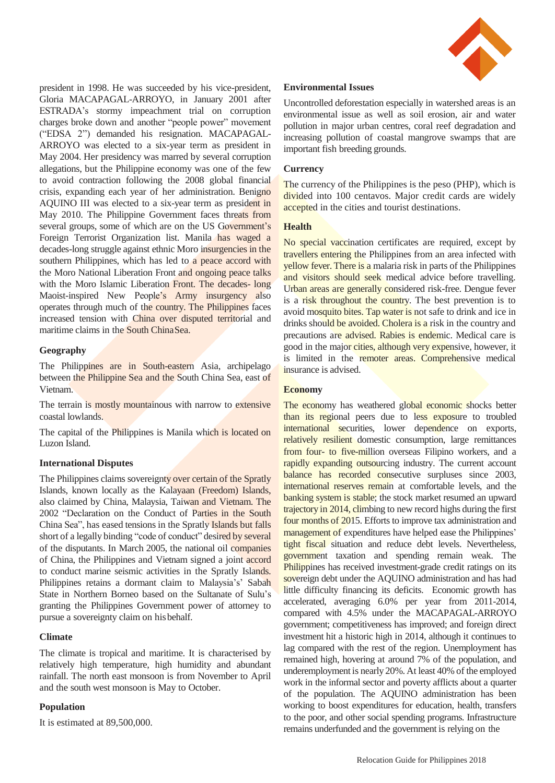

president in 1998. He was succeeded by his vice-president, Gloria MACAPAGAL-ARROYO, in January 2001 after ESTRADA's stormy impeachment trial on corruption charges broke down and another "people power" movement ("EDSA 2") demanded his resignation. MACAPAGAL-ARROYO was elected to a six-year term as president in May 2004. Her presidency was marred by several corruption allegations, but the Philippine economy was one of the few to avoid contraction following the 2008 global financial crisis, expanding each year of her administration. Benigno AQUINO III was elected to a six-year term as president in May 2010. The Philippine Government faces threats from several groups, some of which are on the US Government's Foreign Terrorist Organization list. Manila has waged a decades-long struggle against ethnic Moro insurgencies in the southern Philippines, which has led to a peace accord with the Moro National Liberation Front and ongoing peace talks with the Moro Islamic Liberation Front. The decades- long Maoist-inspired New People's Army insurgency also operates through much of the country. The Philippines faces increased tension with China over disputed territorial and maritime claims in the South ChinaSea.

# **Geography**

The Philippines are in South-eastern Asia, archipelago between the Philippine Sea and the South China Sea, east of Vietnam.

The terrain is mostly mountainous with narrow to extensive coastal lowlands.

The capital of the Philippines is Manila which is located on Luzon Island.

# **International Disputes**

The Philippines claims sovereignty over certain of the Spratly Islands, known locally as the Kalayaan (Freedom) Islands, also claimed by China, Malaysia, Taiwan and Vietnam. The 2002 "Declaration on the Conduct of Parties in the South China Sea", has eased tensions in the Spratly Islands but falls short of a legally binding "code of conduct" desired by several of the disputants. In March 2005, the national oil companies of China, the Philippines and Vietnam signed a joint accord to conduct marine seismic activities in the Spratly Islands. Philippines retains a dormant claim to Malaysia's' Sabah State in Northern Borneo based on the Sultanate of Sulu's granting the Philippines Government power of attorney to pursue a sovereignty claim on hisbehalf.

#### **Climate**

The climate is tropical and maritime. It is characterised by relatively high temperature, high humidity and abundant rainfall. The north east monsoon is from November to April and the south west monsoon is May to October.

# **Population**

It is estimated at 89,500,000.

## **Environmental Issues**

Uncontrolled deforestation especially in watershed areas is an environmental issue as well as soil erosion, air and water pollution in major urban centres, coral reef degradation and increasing pollution of coastal mangrove swamps that are important fish breeding grounds.

## **Currency**

The currency of the Philippines is the peso (PHP), which is divided into 100 centavos. Major credit cards are widely accepted in the cities and tourist destinations.

## **Health**

No special vaccination certificates are required, except by travellers entering the Philippines from an area infected with yellow fever. There is a malaria risk in parts of the Philippines and visitors should seek medical advice before travelling. Urban areas are generally considered risk-free. Dengue fever is a risk throughout the country. The best prevention is to avoid mosquito bites. Tap water is not safe to drink and ice in drinks should be avoided. Cholera is a risk in the country and precautions are advised. Rabies is endemic. Medical care is good in the major cities, although very expensive, however, it is limited in the remoter areas. Comprehensive medical insurance is advised.

#### **Economy**

The economy has weathered global economic shocks better than its regional peers due to less exposure to troubled international securities, lower dependence on exports, relatively resilient domestic consumption, large remittances from four- to five-million overseas Filipino workers, and a rapidly expanding outsourcing industry. The current account balance has recorded consecutive surpluses since 2003, international reserves remain at comfortable levels, and the banking system is stable; the stock market resumed an upward trajectory in 2014, climbing to new record highs during the first four months of 2015. Efforts to improve tax administration and management of expenditures have helped ease the Philippines' tight fiscal situation and reduce debt levels. Nevertheless, government taxation and spending remain weak. The Philippines has received investment-grade credit ratings on its sovereign debt under the AQUINO administration and has had little difficulty financing its deficits. Economic growth has accelerated, averaging 6.0% per year from 2011-2014, compared with 4.5% under the MACAPAGAL-ARROYO government; competitiveness has improved; and foreign direct investment hit a historic high in 2014, although it continues to lag compared with the rest of the region. Unemployment has remained high, hovering at around 7% of the population, and underemployment is nearly 20%.At least 40% of the employed work in the informal sector and poverty afflicts about a quarter of the population. The AQUINO administration has been working to boost expenditures for education, health, transfers to the poor, and other social spending programs. Infrastructure remains underfunded and the government is relying on the